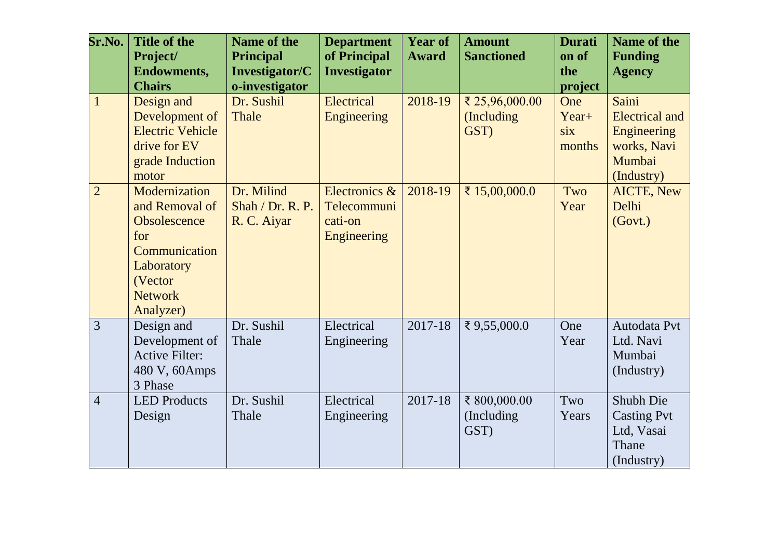| Sr.No.         | <b>Title of the</b><br>Project/ | <b>Name of the</b><br><b>Principal</b> | <b>Department</b><br>of Principal | <b>Year of</b><br><b>Award</b> | <b>Amount</b><br><b>Sanctioned</b> | <b>Durati</b><br>on of | <b>Name of the</b><br><b>Funding</b> |
|----------------|---------------------------------|----------------------------------------|-----------------------------------|--------------------------------|------------------------------------|------------------------|--------------------------------------|
|                | <b>Endowments,</b>              | Investigator/C                         | <b>Investigator</b>               |                                |                                    | the                    | <b>Agency</b>                        |
|                | <b>Chairs</b>                   | o-investigator                         |                                   |                                |                                    | project                |                                      |
| $\mathbf{1}$   | Design and                      | Dr. Sushil                             | Electrical                        | 2018-19                        | ₹ 25,96,000.00                     | One                    | Saini                                |
|                | Development of                  | Thale                                  | <b>Engineering</b>                |                                | (Including                         | Year+                  | <b>Electrical and</b>                |
|                | <b>Electric Vehicle</b>         |                                        |                                   |                                | GST)                               | six                    | Engineering                          |
|                | drive for EV                    |                                        |                                   |                                |                                    | months                 | works, Navi                          |
|                | grade Induction                 |                                        |                                   |                                |                                    |                        | Mumbai                               |
|                | motor                           |                                        |                                   |                                |                                    |                        | (Industry)                           |
| $\overline{2}$ | Modernization                   | Dr. Milind                             | Electronics &                     | 2018-19                        | ₹ 15,00,000.0                      | Two                    | <b>AICTE, New</b>                    |
|                | and Removal of                  | Shah / Dr. R. P.                       | Telecommuni                       |                                |                                    | Year                   | Delhi                                |
|                | Obsolescence                    | R. C. Aiyar                            | cati-on                           |                                |                                    |                        | (Govt.)                              |
|                | for                             |                                        | Engineering                       |                                |                                    |                        |                                      |
|                | Communication                   |                                        |                                   |                                |                                    |                        |                                      |
|                | Laboratory                      |                                        |                                   |                                |                                    |                        |                                      |
|                | (Vector                         |                                        |                                   |                                |                                    |                        |                                      |
|                | <b>Network</b>                  |                                        |                                   |                                |                                    |                        |                                      |
|                | Analyzer)                       |                                        |                                   |                                |                                    |                        |                                      |
| 3              | Design and                      | Dr. Sushil                             | Electrical                        | 2017-18                        | ₹ 9,55,000.0                       | One                    | Autodata Pvt                         |
|                | Development of                  | Thale                                  | Engineering                       |                                |                                    | Year                   | Ltd. Navi                            |
|                | <b>Active Filter:</b>           |                                        |                                   |                                |                                    |                        | Mumbai                               |
|                | 480 V, 60Amps                   |                                        |                                   |                                |                                    |                        | (Industry)                           |
|                | 3 Phase                         |                                        |                                   |                                |                                    |                        |                                      |
| $\overline{4}$ | <b>LED</b> Products             | Dr. Sushil                             | Electrical                        | 2017-18                        | ₹ 800,000.00                       | Two                    | Shubh Die                            |
|                | Design                          | Thale                                  | Engineering                       |                                | (Including)                        | Years                  | <b>Casting Pvt</b>                   |
|                |                                 |                                        |                                   |                                | GST)                               |                        | Ltd, Vasai<br>Thane                  |
|                |                                 |                                        |                                   |                                |                                    |                        |                                      |
|                |                                 |                                        |                                   |                                |                                    |                        | (Industry)                           |